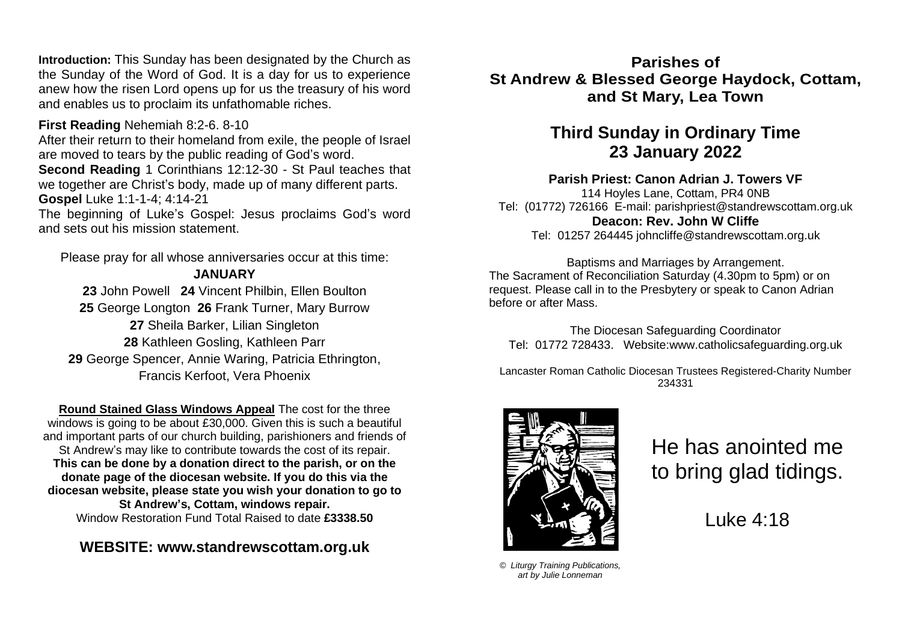**Introduction:** This Sunday has been designated by the Church as the Sunday of the Word of God. It is a day for us to experience anew how the risen Lord opens up for us the treasury of his word and enables us to proclaim its unfathomable riches.

#### **First Reading** Nehemiah 8:2-6. 8-10

After their return to their homeland from exile, the people of Israel are moved to tears by the public reading of God's word. **Second Reading** 1 Corinthians 12:12-30 - St Paul teaches that we together are Christ's body, made up of many different parts. **Gospel** Luke 1:1-1-4; 4:14-21

The beginning of Luke's Gospel: Jesus proclaims God's word and sets out his mission statement.

Please pray for all whose anniversaries occur at this time: **JANUARY**

 John Powell **24** Vincent Philbin, Ellen Boulton George Longton **26** Frank Turner, Mary Burrow Sheila Barker, Lilian Singleton Kathleen Gosling, Kathleen Parr George Spencer, Annie Waring, Patricia Ethrington, Francis Kerfoot, Vera Phoenix

**Round Stained Glass Windows Appeal** The cost for the three windows is going to be about £30,000. Given this is such a beautiful and important parts of our church building, parishioners and friends of St Andrew's may like to contribute towards the cost of its repair. **This can be done by a donation direct to the parish, or on the donate page of the diocesan website. If you do this via the diocesan website, please state you wish your donation to go to St Andrew's, Cottam, windows repair.** Window Restoration Fund Total Raised to date **£3338.50**

## **WEBSITE: [www.standrewscottam.org.uk](http://www.standrewscottam.org.uk/)**

**Parishes of St Andrew & Blessed George Haydock, Cottam, and St Mary, Lea Town**

# **Third Sunday in Ordinary Time 23 January 2022**

#### **Parish Priest: Canon Adrian J. Towers VF**

114 Hoyles Lane, Cottam, PR4 0NB Tel: (01772) 726166 E-mail: [parishpriest@standrewscottam.org.uk](mailto:parishpriest@standrewscottam.org.uk) **Deacon: Rev. John W Cliffe**  Tel: 01257 264445 [johncliffe@standrewscottam.org.uk](mailto:johncliffe@standrewscottam.org.uk)

Baptisms and Marriages by Arrangement. The Sacrament of Reconciliation Saturday (4.30pm to 5pm) or on request. Please call in to the Presbytery or speak to Canon Adrian before or after Mass.

The Diocesan Safeguarding Coordinator Tel: 01772 728433. Website:www.catholicsafeguarding.org.uk

Lancaster Roman Catholic Diocesan Trustees Registered-Charity Number 234331



He has anointed me to bring glad tidings.

Luke 4:18

*© Liturgy Training Publications, art by Julie Lonneman*